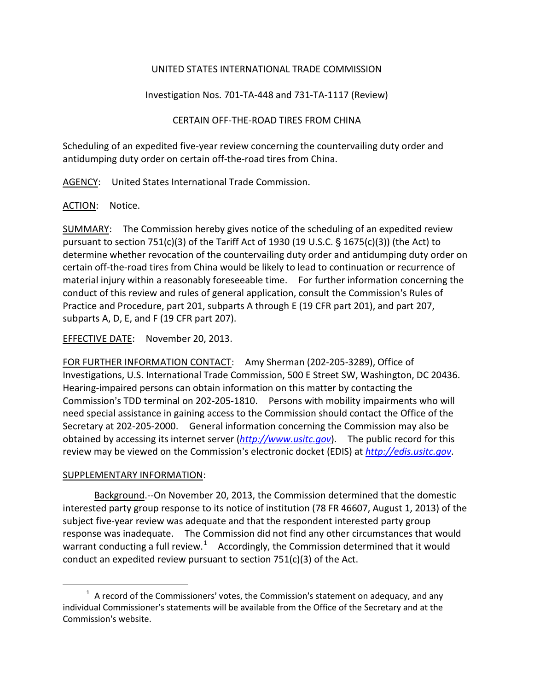## UNITED STATES INTERNATIONAL TRADE COMMISSION

Investigation Nos. 701-TA-448 and 731-TA-1117 (Review)

CERTAIN OFF-THE-ROAD TIRES FROM CHINA

Scheduling of an expedited five-year review concerning the countervailing duty order and antidumping duty order on certain off-the-road tires from China.

AGENCY: United States International Trade Commission.

ACTION: Notice.

SUMMARY: The Commission hereby gives notice of the scheduling of an expedited review pursuant to section 751(c)(3) of the Tariff Act of 1930 (19 U.S.C.  $\S$  1675(c)(3)) (the Act) to determine whether revocation of the countervailing duty order and antidumping duty order on certain off-the-road tires from China would be likely to lead to continuation or recurrence of material injury within a reasonably foreseeable time. For further information concerning the conduct of this review and rules of general application, consult the Commission's Rules of Practice and Procedure, part 201, subparts A through E (19 CFR part 201), and part 207, subparts A, D, E, and F (19 CFR part 207).

EFFECTIVE DATE: November 20, 2013.

FOR FURTHER INFORMATION CONTACT: Amy Sherman (202-205-3289), Office of Investigations, U.S. International Trade Commission, 500 E Street SW, Washington, DC 20436. Hearing-impaired persons can obtain information on this matter by contacting the Commission's TDD terminal on 202-205-1810. Persons with mobility impairments who will need special assistance in gaining access to the Commission should contact the Office of the Secretary at 202-205-2000. General information concerning the Commission may also be obtained by accessing its internet server (*[http://www.usitc.gov](http://www.usitc.gov/)*). The public record for this review may be viewed on the Commission's electronic docket (EDIS) at *[http://edis.usitc.gov](http://edis.usitc.gov/)*.

## SUPPLEMENTARY INFORMATION:

 $\overline{a}$ 

Background.--On November 20, 2013, the Commission determined that the domestic interested party group response to its notice of institution (78 FR 46607, August 1, 2013) of the subject five-year review was adequate and that the respondent interested party group response was inadequate. The Commission did not find any other circumstances that would warrant conducting a full review.<sup>[1](#page-0-0)</sup> Accordingly, the Commission determined that it would conduct an expedited review pursuant to section 751(c)(3) of the Act.

<span id="page-0-0"></span> $1$  A record of the Commissioners' votes, the Commission's statement on adequacy, and any individual Commissioner's statements will be available from the Office of the Secretary and at the Commission's website.